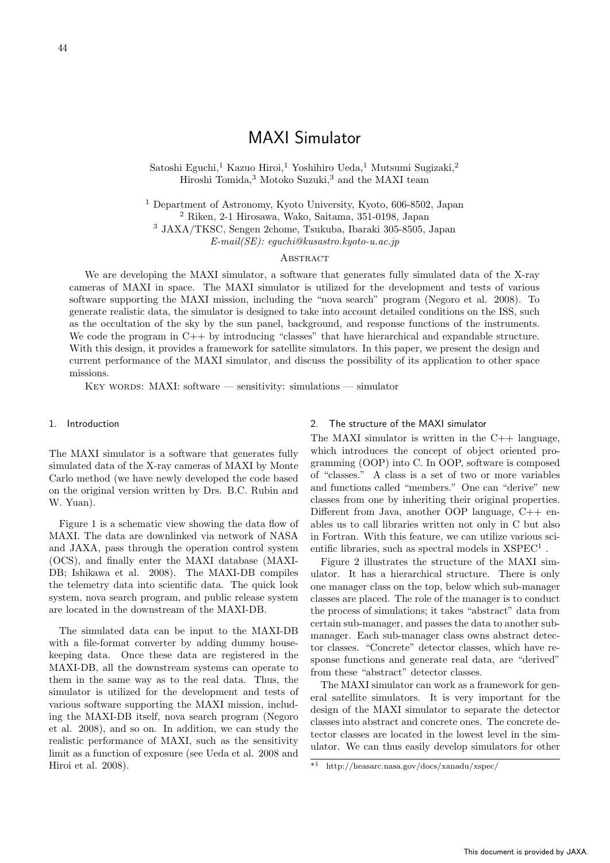# MAXI Simulator

Satoshi Eguchi,<sup>1</sup> Kazuo Hiroi,<sup>1</sup> Yoshihiro Ueda,<sup>1</sup> Mutsumi Sugizaki,<sup>2</sup> Hiroshi Tomida,<sup>3</sup> Motoko Suzuki,<sup>3</sup> and the MAXI team

<sup>1</sup> Department of Astronomy, Kyoto University, Kyoto, 606-8502, Japan <sup>2</sup> Riken, 2-1 Hirosawa, Wako, Saitama, 351-0198, Japan <sup>3</sup> JAXA/TKSC, Sengen 2chome, Tsukuba, Ibaraki 305-8505, Japan

*E-mail(SE): eguchi@kusastro.kyoto-u.ac.jp*

#### **ABSTRACT**

We are developing the MAXI simulator, a software that generates fully simulated data of the X-ray cameras of MAXI in space. The MAXI simulator is utilized for the development and tests of various software supporting the MAXI mission, including the "nova search" program (Negoro et al. 2008). To generate realistic data, the simulator is designed to take into account detailed conditions on the ISS, such as the occultation of the sky by the sun panel, background, and response functions of the instruments. We code the program in  $C_{++}$  by introducing "classes" that have hierarchical and expandable structure. With this design, it provides a framework for satellite simulators. In this paper, we present the design and current performance of the MAXI simulator, and discuss the possibility of its application to other space missions.

KEY WORDS: MAXI: software — sensitivity: simulations — simulator

## 1. Introduction

The MAXI simulator is a software that generates fully simulated data of the X-ray cameras of MAXI by Monte Carlo method (we have newly developed the code based on the original version written by Drs. B.C. Rubin and W. Yuan).

Figure 1 is a schematic view showing the data flow of MAXI. The data are downlinked via network of NASA and JAXA, pass through the operation control system (OCS), and finally enter the MAXI database (MAXI-DB; Ishikawa et al. 2008). The MAXI-DB compiles the telemetry data into scientific data. The quick look system, nova search program, and public release system are located in the downstream of the MAXI-DB.

The simulated data can be input to the MAXI-DB with a file-format converter by adding dummy housekeeping data. Once these data are registered in the MAXI-DB, all the downstream systems can operate to them in the same way as to the real data. Thus, the simulator is utilized for the development and tests of various software supporting the MAXI mission, including the MAXI-DB itself, nova search program (Negoro et al. 2008), and so on. In addition, we can study the realistic performance of MAXI, such as the sensitivity limit as a function of exposure (see Ueda et al. 2008 and Hiroi et al. 2008).

### 2. The structure of the MAXI simulator

The MAXI simulator is written in the  $C++$  language, which introduces the concept of object oriented programming (OOP) into C. In OOP, software is composed of "classes." A class is a set of two or more variables and functions called "members." One can "derive" new classes from one by inheriting their original properties. Different from Java, another OOP language, C++ enables us to call libraries written not only in C but also in Fortran. With this feature, we can utilize various scientific libraries, such as spectral models in  $XSPEC<sup>1</sup>$ .

Figure 2 illustrates the structure of the MAXI simulator. It has a hierarchical structure. There is only one manager class on the top, below which sub-manager classes are placed. The role of the manager is to conduct the process of simulations; it takes "abstract" data from certain sub-manager, and passes the data to another submanager. Each sub-manager class owns abstract detector classes. "Concrete" detector classes, which have response functions and generate real data, are "derived" from these "abstract" detector classes.

The MAXI simulator can work as a framework for general satellite simulators. It is very important for the design of the MAXI simulator to separate the detector classes into abstract and concrete ones. The concrete detector classes are located in the lowest level in the simulator. We can thus easily develop simulators for other

<sup>\*</sup><sup>1</sup> http://heasarc.nasa.gov/docs/xanadu/xspec/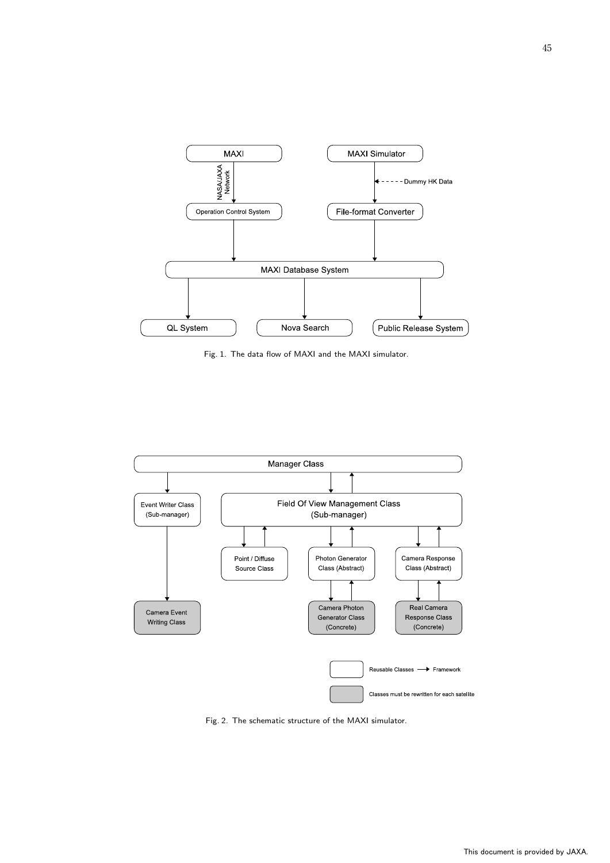

Fig. 1. The data flow of MAXI and the MAXI simulator.



Fig. 2. The schematic structure of the MAXI simulator.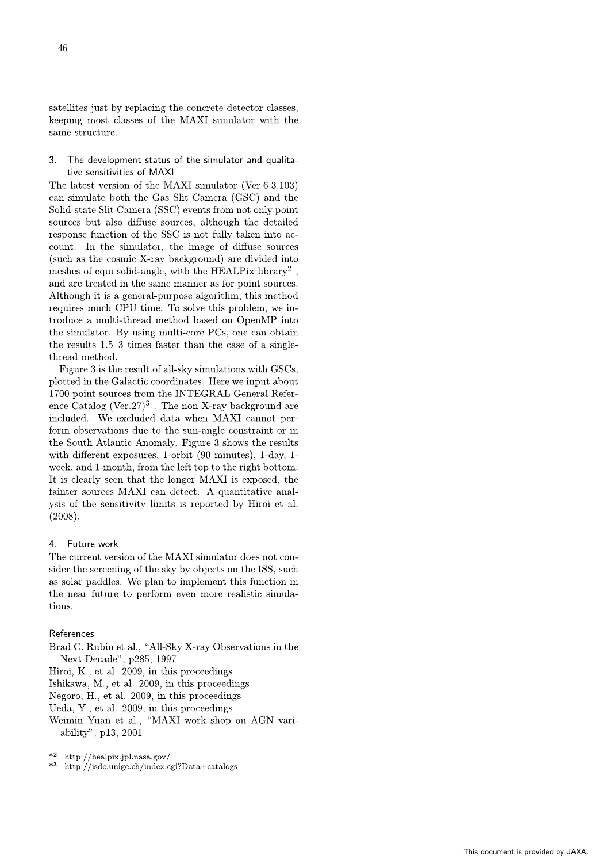satellites just by replacing the concrete detector classes, keeping most classes of the MAXI simulator with the same structure.

#### 3. The development status of the simulator and qualitative sensitivities of MAXI

The latest version of the MAXI simulator (Ver.6.3.103) can simulate both the Gas Slit Camera (GSC) and the Solid-state Slit Camera (SSC) events from not only point sources but also diffuse sources, although the detailed response function of the SSC is not fully taken into account. In the simulator, the image of diffuse sources (such as the cosmic X-ray background) are divided into meshes of equi solid-angle, with the HEALPix library<sup>2</sup>, and are treated in the same manner as for point sources. Although it is a general-purpose algorithm, this method requires much CPU time. To solve this problem, we introduce a multi-thread method based on OpenMP into the simulator. By using multi-core PCs, one can obtain the results  $1.5-3$  times faster than the case of a singlethread method.

Figure 3 is the result of all-sky simulations with GSCs, plotted in the Galactic coordinates. Here we input about 1700 point sources from the INTEGRAL General Reference Catalog (Ver.27)<sup>3</sup>. The non X-ray background are included. We excluded data when MAXI cannot perform observations due to the sun-angle constraint or in the South Atlantic Anomaly. Figure 3 shows the results with different exposures, 1-orbit (90 minutes), 1-day, 1week, and 1-month, from the left top to the right bottom. It is clearly seen that the longer MAXI is exposed, the fainter sources MAXI can detect. A quantitative analvsis of the sensitivity limits is reported by Hiroi et al.  $(2008).$ 

# 4. Future work

The current version of the MAXI simulator does not consider the screening of the sky by objects on the ISS, such as solar paddles. We plan to implement this function in the near future to perform even more realistic simulations.

# References

- Brad C. Rubin et al., "All-Sky X-ray Observations in the Next Decade", p285, 1997
- Hiroi, K., et al. 2009, in this proceedings
- Ishikawa, M., et al. 2009, in this proceedings
- Negoro, H., et al. 2009, in this proceedings
- Ueda, Y., et al. 2009, in this proceedings
- Weimin Yuan et al., "MAXI work shop on AGN variability", p13, 2001

http://isdc.unige.ch/index.cgi?Data+catalogs  $*3$ 

 $*2$ http://healpix.jpl.nasa.gov/